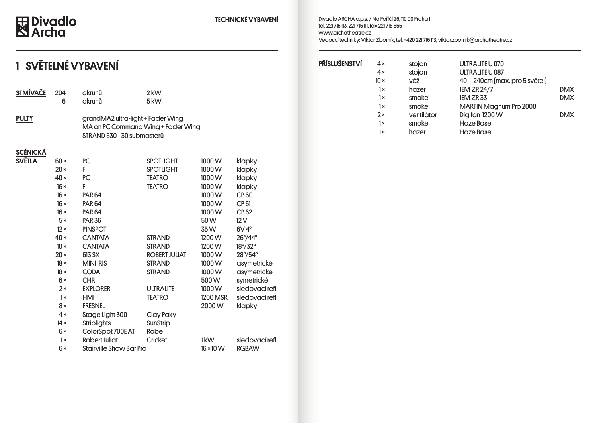## 因 Divadlo<br>**図 Archa**

#### TECHNICKÉ VYBAVENÍ

Divadlo ARCHA o.p.s. / Na Poříčí 26, 110 00 Praha 1 tel. 221 716 113, 221 716 111, fax 221 716 666 www.archatheatre.cz Vedoucí techniky: Viktor Zborník, tel. +420 221 716 113, viktor.zbornik@archatheatre.cz

## 1 SVĚTELNÉ VYBAVENÍ

| <b>STMIVACE</b> | 204<br>6    | okruhů<br>okruhů                                                                                    | 2 kW<br>5kW          |                             |                 |
|-----------------|-------------|-----------------------------------------------------------------------------------------------------|----------------------|-----------------------------|-----------------|
| <b>PULTY</b>    |             | grandMA2 ultra-light + Fader Wing<br>MA on PC Command Wing + Fader Wing<br>STRAND 530 30 submasterů |                      |                             |                 |
| <b>SCÉNICKÁ</b> |             |                                                                                                     |                      |                             |                 |
| <b>SVĚTLA</b>   | $60 \times$ | PC                                                                                                  | <b>SPOTLIGHT</b>     | 1000W                       | klapky          |
|                 | $20 \times$ | F                                                                                                   | <b>SPOTLIGHT</b>     | 1000W                       | klapky          |
|                 | $40 \times$ | PC                                                                                                  | <b>TEATRO</b>        | 1000W                       | klapky          |
|                 | $16 \times$ | F                                                                                                   | <b>TEATRO</b>        | 1000W                       | klapky          |
|                 | $16 \times$ | <b>PAR64</b>                                                                                        |                      | 1000W                       | <b>CP60</b>     |
|                 | $16 \times$ | <b>PAR64</b>                                                                                        |                      | 1000W                       | <b>CP 61</b>    |
|                 | $16 \times$ | <b>PAR64</b>                                                                                        |                      | 1000W                       | <b>CP62</b>     |
|                 | $5\times$   | <b>PAR 36</b>                                                                                       |                      | 50W                         | 12V             |
|                 | $12 \times$ | <b>PINSPOT</b>                                                                                      |                      | 35 W                        | $6V4^\circ$     |
|                 | $40 \times$ | <b>CANTATA</b>                                                                                      | <b>STRAND</b>        | 1200 W                      | 26°/44°         |
|                 | $10 \times$ | <b>CANTATA</b>                                                                                      | <b>STRAND</b>        | 1200 W                      | 18°/32°         |
|                 | $20 \times$ | 613 SX                                                                                              | <b>ROBERT JULIAT</b> | 1000W                       | 28°/54°         |
|                 | $18 \times$ | <b>MINI IRIS</b>                                                                                    | <b>STRAND</b>        | 1000W                       | asymetrické     |
|                 | $18 \times$ | <b>CODA</b>                                                                                         | <b>STRAND</b>        | 1000W                       | asymetrické     |
|                 | $6 \times$  | <b>CHR</b>                                                                                          |                      | 500W                        | symetrické      |
|                 | $2\times$   | <b>EXPLORER</b>                                                                                     | <b>ULTRALITE</b>     | 1000W                       | sledovací refl. |
|                 | $1\times$   | HMI                                                                                                 | <b>TEATRO</b>        | <b>1200 MSR</b>             | sledovací refl. |
|                 | $8\times$   | <b>FRESNEL</b>                                                                                      |                      | 2000W                       | klapky          |
|                 | 4x          | Stage Light 300                                                                                     | Clay Paky            |                             |                 |
|                 | $14 \times$ | <b>Striplights</b>                                                                                  | SunStrip             |                             |                 |
|                 | $6 \times$  | ColorSpot 700E AT                                                                                   | Robe                 |                             |                 |
|                 | $1\times$   | <b>Robert Juliat</b>                                                                                | Cricket              | 1kW                         | sledovací refl. |
|                 | $6\times$   | <b>Stairville Show Bar Pro</b>                                                                      |                      | $16 \times 10 \,\mathrm{W}$ | <b>RGBAW</b>    |
|                 |             |                                                                                                     |                      |                             |                 |

| PŘÍSLUŠENSTVÍ | $4 \times$  | stojan     | ULTRALITE U 070                |            |
|---------------|-------------|------------|--------------------------------|------------|
|               | $4 \times$  | stojan     | ULTRALITE U 087                |            |
|               | $10 \times$ | věž        | 40 – 240cm [max. pro 5 světel] |            |
|               | $1\times$   | hazer      | <b>JEM ZR 24/7</b>             | <b>DMX</b> |
|               | $1\times$   | smoke      | JEM ZR 33                      | <b>DMX</b> |
|               | $1\times$   | smoke      | <b>MARTIN Magnum Pro 2000</b>  |            |
|               | $2\times$   | ventilátor | Digifan 1200 W                 | <b>DMX</b> |
|               | $1\times$   | smoke      | Haze Base                      |            |
|               | 1×          | hazer      | Haze Base                      |            |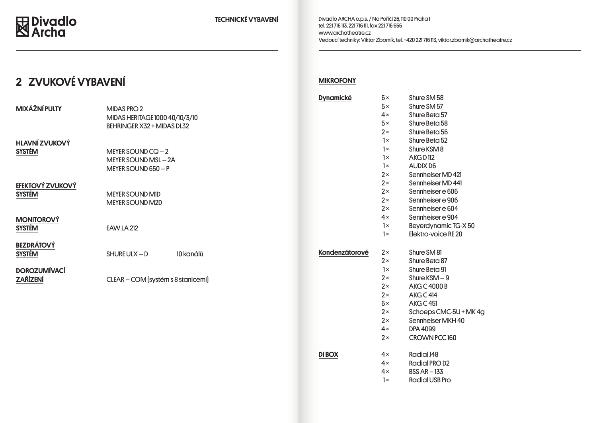### 2 ZVUKOVÉ VYBAVENÍ

| <b>MIXÁŽNÍ PULTY</b>                     | MIDAS PRO 2<br>MIDAS HERITAGE 1000 40/10/3/10<br>BEHRINGER X32 + MIDAS DL32 |          |
|------------------------------------------|-----------------------------------------------------------------------------|----------|
| <b>HLAVNÍ ZVUKOVÝ</b><br><b>SYSTÉM</b>   | MEYER SOUND $CQ - 2$<br>MEYER SOUND MSL-2A<br>MEYER SOUND 650 - P           |          |
| <b>EFEKTOVÝ ZVUKOVÝ</b><br><b>SYSTÉM</b> | <b>MEYER SOUND MID</b><br><b>MEYER SOUND M2D</b>                            |          |
| <b>MONITOROVÝ</b><br><b>SYSTÉM</b>       | <b>EAW LA 212</b>                                                           |          |
| <b>BEZDRÁTOVÝ</b><br><b>SYSTÉM</b>       | 10 kanálů<br>SHURE ULX $-$ D                                                | Kondenzá |
| <b>DOROZUMÍVACÍ</b><br><b>ZAŘÍZENÍ</b>   | CLEAR - COM [systém s 8 stanicemi]                                          |          |
|                                          |                                                                             |          |

#### **MIKROFONY**

| <b>Dynamické</b> | 6×         | Shure SM 58            |
|------------------|------------|------------------------|
|                  | $5\times$  | Shure SM 57            |
|                  | 4x         | Shure Beta 57          |
|                  | $5\times$  | Shure Beta 58          |
|                  | $2 \times$ | Shure Beta 56          |
|                  | $1\times$  | Shure Beta 52          |
|                  | $1\times$  | Shure KSM 8            |
|                  | $1\times$  | <b>AKGD112</b>         |
|                  | $1\times$  | <b>AUDIX D6</b>        |
|                  | $2 \times$ | Sennheiser MD 421      |
|                  | $2\times$  | Sennheiser MD 441      |
|                  | $2\times$  | Sennheiser e 606       |
|                  | $2\times$  | Sennheiser e 906       |
|                  | $2\times$  | Sennheiser e 604       |
|                  | 4x         | Sennheiser e 904       |
|                  | $1\times$  | Beyerdynamic TG-X 50   |
|                  | 1x         | Elektro-voice RE 20    |
| Kondenzátorové   | $2 \times$ | Shure SM 81            |
|                  | $2 \times$ | Shure Beta 87          |
|                  | $1\times$  | Shure Beta 91          |
|                  | $2\times$  | $Shure$ KSM $-9$       |
|                  | $2 \times$ | <b>AKG C 4000 B</b>    |
|                  | $2\times$  | AKG C 414              |
|                  | $6\times$  | <b>AKG C 451</b>       |
|                  | $2 \times$ | Schoeps CMC-5U + MK 4g |
|                  | $2 \times$ | Sennheiser MKH 40      |
|                  | $4 \times$ | <b>DPA 4099</b>        |
|                  | 2x         | CROWN PCC 160          |
| <b>DI BOX</b>    | $4 \times$ | <b>Radial J48</b>      |
|                  | $4 \times$ | <b>Radial PRO D2</b>   |
|                  | $4 \times$ | $BSS AR - 133$         |
|                  | 1×         | <b>Radial USB Pro</b>  |